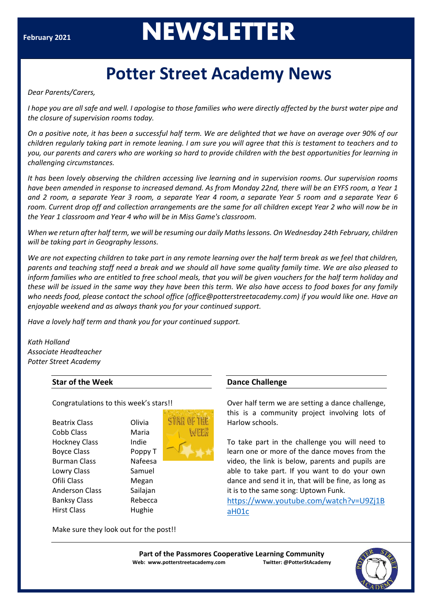# **February <sup>2021</sup>NEWSLETTER**

# **Potter Street Academy News**

*Dear Parents/Carers,*

*I hope you are all safe and well. I apologise to those families who were directly affected by the burst water pipe and the closure of supervision rooms today.*

On a positive note, it has been a successful half term. We are delighted that we have on average over 90% of our children regularly taking part in remote leaning. I am sure you will agree that this is testament to teachers and to you, our parents and carers who are working so hard to provide children with the best opportunities for learning in *challenging circumstances.*

It has been lovely observing the children accessing live learning and in supervision rooms. Our supervision rooms have been amended in response to increased demand. As from Monday 22nd, there will be an EYFS room, a Year 1 and 2 room, a separate Year 3 room, a separate Year 4 room, a separate Year 5 room and a separate Year 6 *room. Current drop off and collection arrangements are the same for all children except Year 2 who will now be in the Year 1 classroom and Year 4 who will be in Miss Game's classroom.*

When we return after half term, we will be resuming our daily Maths lessons. On Wednesday 24th February, children *will be taking part in Geography lessons.*

We are not expecting children to take part in any remote learning over the half term break as we feel that children, parents and teaching staff need a break and we should all have some quality family time. We are also pleased to inform families who are entitled to free school meals, that you will be given vouchers for the half term holiday and these will be issued in the same way they have been this term. We also have access to food boxes for any family *who needs food, please contact the school office (office@potterstreetacademy.com) if you would like one. Have an enjoyable weekend and as always thank you for your continued support.*

*Have a lovely half term and thank you for your continued support.*

*Kath Holland Associate Headteacher Potter Street Academy*

# **Star of the Week**

#### Congratulations to this week's stars!!

Beatrix Class Olivia Cobb Class Maria Hockney Class Indie Boyce Class Poppy T Burman Class Nafeesa Lowry Class Samuel Ofili Class Megan Anderson Class Sailajan Banksy Class Rebecca Hirst Class Hughie



#### **Dance Challenge**

Over half term we are setting a dance challenge, this is a community project involving lots of Harlow schools.

To take part in the challenge you will need to learn one or more of the dance moves from the video, the link is below, parents and pupils are able to take part. If you want to do your own dance and send it in, that will be fine, as long as it is to the same song: Uptown Funk.

[https://www.youtube.com/watch?v=U9Zj1B](about:blank) [aH01c](about:blank)

Make sure they look out for the post!!

**Part of the Passmores Cooperative Learning Community Web: www.potterstreetacademy.com Twitter: @PotterStAcademy**

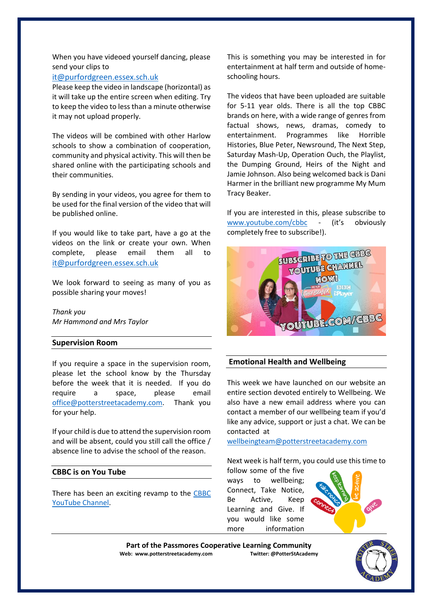When you have videoed yourself dancing, please send your clips to

### [it@purfordgreen.essex.sch.uk](about:blank)

Please keep the video in landscape (horizontal) as it will take up the entire screen when editing. Try to keep the video to less than a minute otherwise it may not upload properly.

The videos will be combined with other Harlow schools to show a combination of cooperation, community and physical activity. This will then be shared online with the participating schools and their communities.

By sending in your videos, you agree for them to be used for the final version of the video that will be published online.

If you would like to take part, have a go at the videos on the link or create your own. When complete, please email them all [it@purfordgreen.essex.sch.uk](about:blank)

We look forward to seeing as many of you as possible sharing your moves!

*Thank you Mr Hammond and Mrs Taylor*

#### **Supervision Room**

If you require a space in the supervision room, please let the school know by the Thursday before the week that it is needed. If you do require a space, please email [office@potterstreetacademy.com.](about:blank) Thank you for your help.

If your child is due to attend the supervision room and will be absent, could you still call the office / absence line to advise the school of the reason.

### **CBBC is on You Tube**

There has been an exciting revamp to the [CBBC](about:blank)  [YouTube Channel.](about:blank)

This is something you may be interested in for entertainment at half term and outside of homeschooling hours.

The videos that have been uploaded are suitable for 5-11 year olds. There is all the top CBBC brands on here, with a wide range of genres from factual shows, news, dramas, comedy to entertainment. Programmes like Horrible Histories, Blue Peter, Newsround, The Next Step, Saturday Mash-Up, Operation Ouch, the Playlist, the Dumping Ground, Heirs of the Night and Jamie Johnson. Also being welcomed back is Dani Harmer in the brilliant new programme My Mum Tracy Beaker.

If you are interested in this, please subscribe to [www.youtube.com/cbbc](about:blank) - (it's obviously completely free to subscribe!).



## **Emotional Health and Wellbeing**

This week we have launched on our website an entire section devoted entirely to Wellbeing. We also have a new email address where you can contact a member of our wellbeing team if you'd like any advice, support or just a chat. We can be contacted at

[wellbeingteam@potterstreetacademy.com](mailto:wellbeingteam@potterstreetacademy.com)

Next week is half term, you could use this time to

follow some of the five ways to wellbeing; Connect, Take Notice, Be Active, Keep Learning and Give. If you would like some more information



Part of the Passmores Cooperative Learning Community<br>eb: www.potterstreetacademy.com **Twitter:** @PotterStAcademy **Web: www.potterstreetacademy.com**